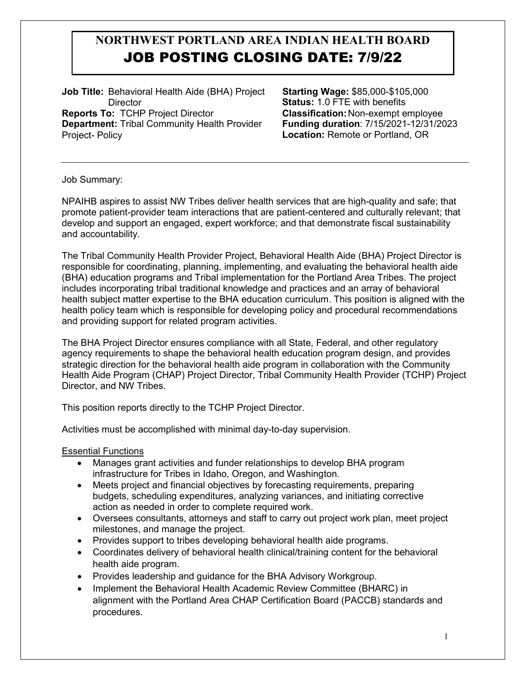**Job Title:** Behavioral Health Aide (BHA) Project **Director Reports To:** TCHP Project Director **Department:** Tribal Community Health Provider Project- Policy

 **Starting Wage:** \$85,000-\$105,000 **Status:** 1.0 FTE with benefits **Classification:**Non-exempt employee **Funding duration**: 7/15/2021-12/31/2023 **Location:** Remote or Portland, OR

Job Summary:

NPAIHB aspires to assist NW Tribes deliver health services that are high-quality and safe; that promote patient-provider team interactions that are patient-centered and culturally relevant; that develop and support an engaged, expert workforce; and that demonstrate fiscal sustainability and accountability.

The Tribal Community Health Provider Project, Behavioral Health Aide (BHA) Project Director is responsible for coordinating, planning, implementing, and evaluating the behavioral health aide (BHA) education programs and Tribal implementation for the Portland Area Tribes. The project includes incorporating tribal traditional knowledge and practices and an array of behavioral health subject matter expertise to the BHA education curriculum. This position is aligned with the health policy team which is responsible for developing policy and procedural recommendations and providing support for related program activities.

The BHA Project Director ensures compliance with all State, Federal, and other regulatory agency requirements to shape the behavioral health education program design, and provides strategic direction for the behavioral health aide program in collaboration with the Community Health Aide Program (CHAP) Project Director, Tribal Community Health Provider (TCHP) Project Director, and NW Tribes.

This position reports directly to the TCHP Project Director.

Activities must be accomplished with minimal day-to-day supervision.

#### Essential Functions

- Manages grant activities and funder relationships to develop BHA program infrastructure for Tribes in Idaho, Oregon, and Washington.
- Meets project and financial objectives by forecasting requirements, preparing budgets, scheduling expenditures, analyzing variances, and initiating corrective action as needed in order to complete required work.
- Oversees consultants, attorneys and staff to carry out project work plan, meet project milestones, and manage the project.
- Provides support to tribes developing behavioral health aide programs.
- Coordinates delivery of behavioral health clinical/training content for the behavioral health aide program.
- Provides leadership and guidance for the BHA Advisory Workgroup.
- Implement the Behavioral Health Academic Review Committee (BHARC) in alignment with the Portland Area CHAP Certification Board (PACCB) standards and procedures.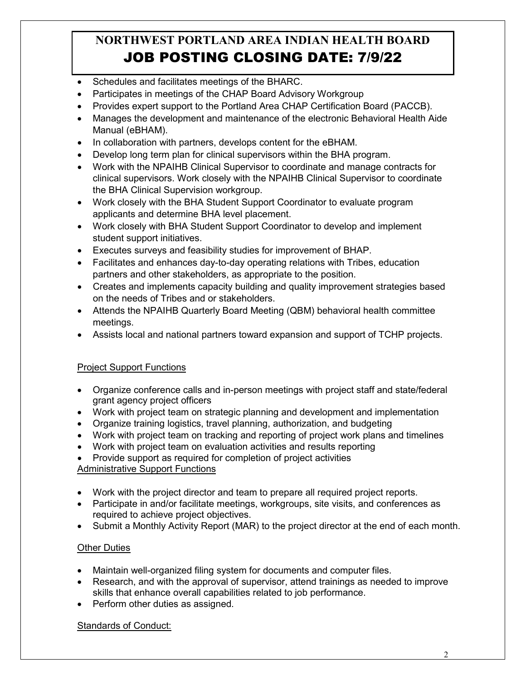- Schedules and facilitates meetings of the BHARC.
- Participates in meetings of the CHAP Board Advisory Workgroup
- Provides expert support to the Portland Area CHAP Certification Board (PACCB).
- Manages the development and maintenance of the electronic Behavioral Health Aide Manual (eBHAM).
- In collaboration with partners, develops content for the eBHAM.
- Develop long term plan for clinical supervisors within the BHA program.
- Work with the NPAIHB Clinical Supervisor to coordinate and manage contracts for clinical supervisors. Work closely with the NPAIHB Clinical Supervisor to coordinate the BHA Clinical Supervision workgroup.
- Work closely with the BHA Student Support Coordinator to evaluate program applicants and determine BHA level placement.
- Work closely with BHA Student Support Coordinator to develop and implement student support initiatives.
- Executes surveys and feasibility studies for improvement of BHAP.
- Facilitates and enhances day-to-day operating relations with Tribes, education partners and other stakeholders, as appropriate to the position.
- Creates and implements capacity building and quality improvement strategies based on the needs of Tribes and or stakeholders.
- Attends the NPAIHB Quarterly Board Meeting (QBM) behavioral health committee meetings.
- Assists local and national partners toward expansion and support of TCHP projects.

### **Project Support Functions**

- Organize conference calls and in-person meetings with project staff and state/federal grant agency project officers
- Work with project team on strategic planning and development and implementation
- Organize training logistics, travel planning, authorization, and budgeting
- Work with project team on tracking and reporting of project work plans and timelines
- Work with project team on evaluation activities and results reporting
- Provide support as required for completion of project activities

#### Administrative Support Functions

- Work with the project director and team to prepare all required project reports.
- Participate in and/or facilitate meetings, workgroups, site visits, and conferences as required to achieve project objectives.
- Submit a Monthly Activity Report (MAR) to the project director at the end of each month.

### **Other Duties**

- Maintain well-organized filing system for documents and computer files.
- Research, and with the approval of supervisor, attend trainings as needed to improve skills that enhance overall capabilities related to job performance.
- Perform other duties as assigned.

#### Standards of Conduct: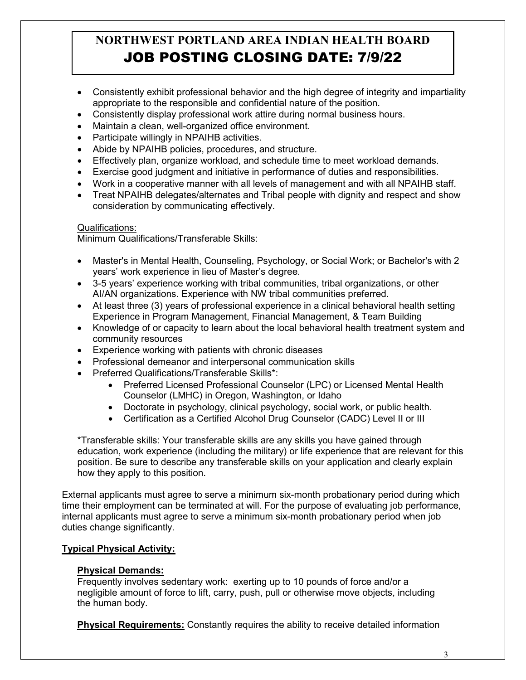- Consistently exhibit professional behavior and the high degree of integrity and impartiality appropriate to the responsible and confidential nature of the position.
- Consistently display professional work attire during normal business hours.
- Maintain a clean, well-organized office environment.
- Participate willingly in NPAIHB activities.
- Abide by NPAIHB policies, procedures, and structure.
- Effectively plan, organize workload, and schedule time to meet workload demands.
- Exercise good judgment and initiative in performance of duties and responsibilities.
- Work in a cooperative manner with all levels of management and with all NPAIHB staff.
- Treat NPAIHB delegates/alternates and Tribal people with dignity and respect and show consideration by communicating effectively.

### Qualifications:

Minimum Qualifications/Transferable Skills:

- Master's in Mental Health, Counseling, Psychology, or Social Work; or Bachelor's with 2 years' work experience in lieu of Master's degree.
- 3-5 years' experience working with tribal communities, tribal organizations, or other AI/AN organizations. Experience with NW tribal communities preferred.
- At least three (3) years of professional experience in a clinical behavioral health setting Experience in Program Management, Financial Management, & Team Building
- Knowledge of or capacity to learn about the local behavioral health treatment system and community resources
- Experience working with patients with chronic diseases
- Professional demeanor and interpersonal communication skills
- Preferred Qualifications/Transferable Skills\*:
	- Preferred Licensed Professional Counselor (LPC) or Licensed Mental Health Counselor (LMHC) in Oregon, Washington, or Idaho
	- Doctorate in psychology, clinical psychology, social work, or public health.
	- Certification as a Certified Alcohol Drug Counselor (CADC) Level II or III

\*Transferable skills: Your transferable skills are any skills you have gained through education, work experience (including the military) or life experience that are relevant for this position. Be sure to describe any transferable skills on your application and clearly explain how they apply to this position.

External applicants must agree to serve a minimum six-month probationary period during which time their employment can be terminated at will. For the purpose of evaluating job performance, internal applicants must agree to serve a minimum six-month probationary period when job duties change significantly.

### **Typical Physical Activity:**

#### **Physical Demands:**

Frequently involves sedentary work: exerting up to 10 pounds of force and/or a negligible amount of force to lift, carry, push, pull or otherwise move objects, including the human body.

**Physical Requirements:** Constantly requires the ability to receive detailed information